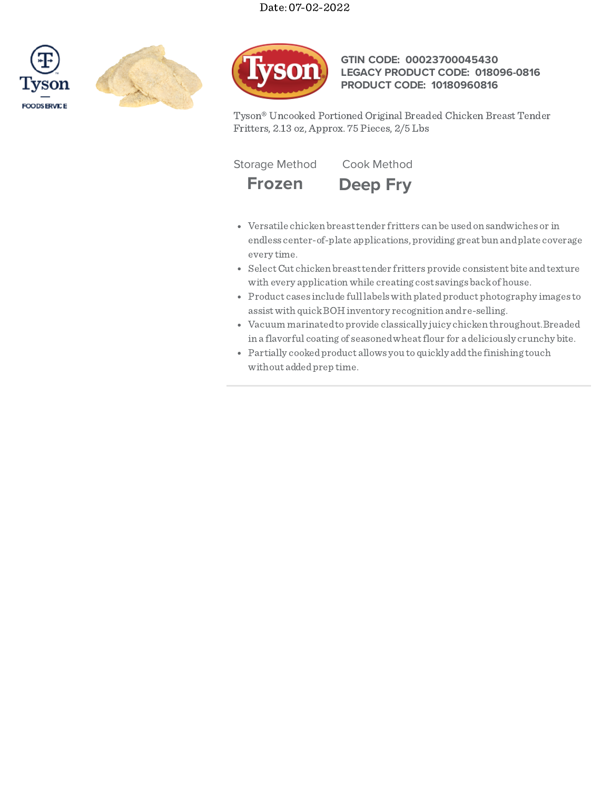# Date: 07-02-2022







# **GTIN CODE: 00023700045430 LEGACY PRODUCT CODE: 018096-0816 PRODUCT CODE: 10180960816**

Tyson® Uncooked Portioned Original Breaded Chicken Breast Tender Fritters, 2.13 oz, Approx. 75 Pieces, 2/5 Lbs

**Frozen Deep Fry**

Storage Method Cook Method

- Versatile chicken breasttender fritters can be usedon sandwiches or in endless center-of-plate applications, providing great bun andplate coverage every time.
	- SelectCut chicken breasttender fritters provide consistent bite andtexture with every applicationwhile creating cost savings backof house.
	- Product cases include full labelswith platedproduct photography images to assistwith quickBOH inventory recognition andre-selling.
	- Vacuum marinatedtoprovide classically juicy chicken throughout.Breaded in a flavorful coating of seasonedwheatflour for a deliciously crunchy bite.
	- Partially cookedproduct allows you to quickly addthe finishing touch without addedprep time.